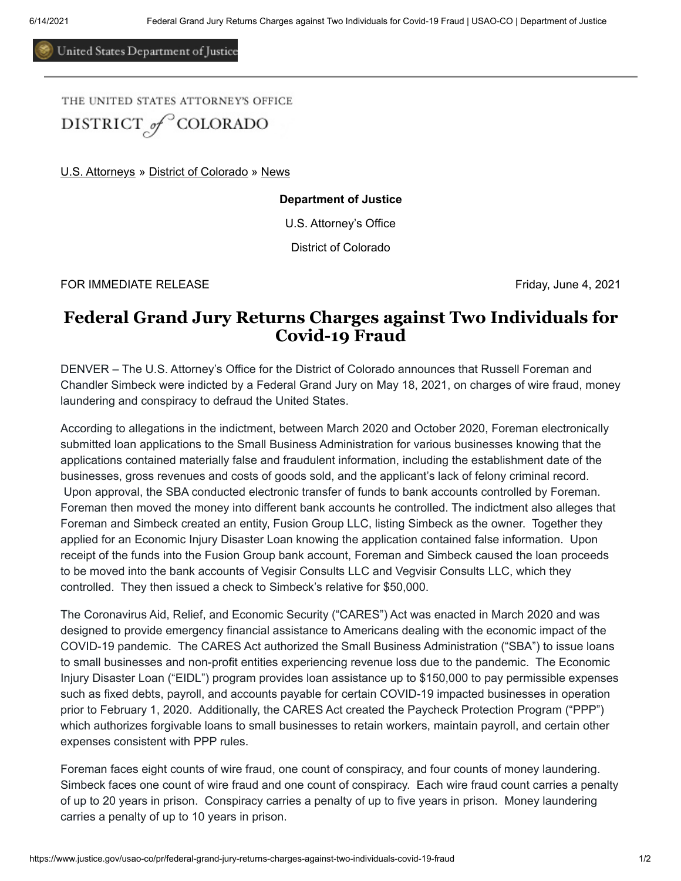United States Department of Justice

THE UNITED STATES ATTORNEY'S OFFICE DISTRICT<sub>of</sub><sup>C</sup>COLORADO

[U.S. Attorneys](https://www.justice.gov/usao) » [District of Colorado](https://www.justice.gov/usao-co) » [News](https://www.justice.gov/usao-co/pr)

**Department of Justice**

U.S. Attorney's Office

District of Colorado

FOR IMMEDIATE RELEASE FROM THE SERVICE OF SALE AND THE SERVICE OF STRIDUCT AND THE SERVICE OF STRIDUCT AND THE STRIDUCT OF STRIDUCT AND THE STRIDUCT OF STRIDUCT AND THE STRIDUCT OF STRIDUCT AND THE STRIDUCT OF STRIDUCT AND

## **Federal Grand Jury Returns Charges against Two Individuals for Covid-19 Fraud**

DENVER – The U.S. Attorney's Office for the District of Colorado announces that Russell Foreman and Chandler Simbeck were indicted by a Federal Grand Jury on May 18, 2021, on charges of wire fraud, money laundering and conspiracy to defraud the United States.

According to allegations in the indictment, between March 2020 and October 2020, Foreman electronically submitted loan applications to the Small Business Administration for various businesses knowing that the applications contained materially false and fraudulent information, including the establishment date of the businesses, gross revenues and costs of goods sold, and the applicant's lack of felony criminal record. Upon approval, the SBA conducted electronic transfer of funds to bank accounts controlled by Foreman. Foreman then moved the money into different bank accounts he controlled. The indictment also alleges that Foreman and Simbeck created an entity, Fusion Group LLC, listing Simbeck as the owner. Together they applied for an Economic Injury Disaster Loan knowing the application contained false information. Upon receipt of the funds into the Fusion Group bank account, Foreman and Simbeck caused the loan proceeds to be moved into the bank accounts of Vegisir Consults LLC and Vegvisir Consults LLC, which they controlled. They then issued a check to Simbeck's relative for \$50,000.

The Coronavirus Aid, Relief, and Economic Security ("CARES") Act was enacted in March 2020 and was designed to provide emergency financial assistance to Americans dealing with the economic impact of the COVID-19 pandemic. The CARES Act authorized the Small Business Administration ("SBA") to issue loans to small businesses and non-profit entities experiencing revenue loss due to the pandemic. The Economic Injury Disaster Loan ("EIDL") program provides loan assistance up to \$150,000 to pay permissible expenses such as fixed debts, payroll, and accounts payable for certain COVID-19 impacted businesses in operation prior to February 1, 2020. Additionally, the CARES Act created the Paycheck Protection Program ("PPP") which authorizes forgivable loans to small businesses to retain workers, maintain payroll, and certain other expenses consistent with PPP rules.

Foreman faces eight counts of wire fraud, one count of conspiracy, and four counts of money laundering. Simbeck faces one count of wire fraud and one count of conspiracy. Each wire fraud count carries a penalty of up to 20 years in prison. Conspiracy carries a penalty of up to five years in prison. Money laundering carries a penalty of up to 10 years in prison.